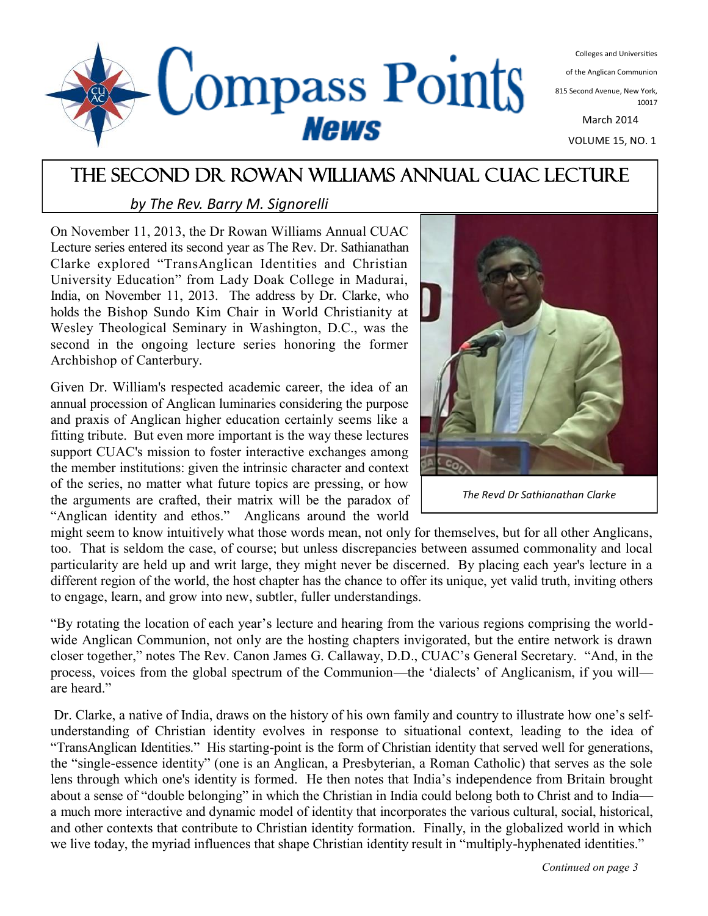

Colleges and Universities

of the Anglican Communion

815 Second Avenue, New York, 10017

March 2014

VOLUME 15, NO. 1

# The second Dr Rowan Williams Annual CUAC Lecture

### *by The Rev. Barry M. Signorelli*

On November 11, 2013, the Dr Rowan Williams Annual CUAC Lecture series entered its second year as The Rev. Dr. Sathianathan Clarke explored "TransAnglican Identities and Christian University Education" from Lady Doak College in Madurai, India, on November 11, 2013. The address by Dr. Clarke, who holds the Bishop Sundo Kim Chair in World Christianity at Wesley Theological Seminary in Washington, D.C., was the second in the ongoing lecture series honoring the former Archbishop of Canterbury.

Given Dr. William's respected academic career, the idea of an annual procession of Anglican luminaries considering the purpose and praxis of Anglican higher education certainly seems like a fitting tribute. But even more important is the way these lectures support CUAC's mission to foster interactive exchanges among the member institutions: given the intrinsic character and context of the series, no matter what future topics are pressing, or how the arguments are crafted, their matrix will be the paradox of "Anglican identity and ethos." Anglicans around the world



*The Revd Dr Sathianathan Clarke*

might seem to know intuitively what those words mean, not only for themselves, but for all other Anglicans, too. That is seldom the case, of course; but unless discrepancies between assumed commonality and local particularity are held up and writ large, they might never be discerned. By placing each year's lecture in a different region of the world, the host chapter has the chance to offer its unique, yet valid truth, inviting others to engage, learn, and grow into new, subtler, fuller understandings.

"By rotating the location of each year's lecture and hearing from the various regions comprising the worldwide Anglican Communion, not only are the hosting chapters invigorated, but the entire network is drawn closer together," notes The Rev. Canon James G. Callaway, D.D., CUAC's General Secretary. "And, in the process, voices from the global spectrum of the Communion—the 'dialects' of Anglicanism, if you will are heard."

Dr. Clarke, a native of India, draws on the history of his own family and country to illustrate how one's selfunderstanding of Christian identity evolves in response to situational context, leading to the idea of "TransAnglican Identities." His starting-point is the form of Christian identity that served well for generations, the "single-essence identity" (one is an Anglican, a Presbyterian, a Roman Catholic) that serves as the sole lens through which one's identity is formed. He then notes that India's independence from Britain brought about a sense of "double belonging" in which the Christian in India could belong both to Christ and to India a much more interactive and dynamic model of identity that incorporates the various cultural, social, historical, and other contexts that contribute to Christian identity formation. Finally, in the globalized world in which we live today, the myriad influences that shape Christian identity result in "multiply-hyphenated identities."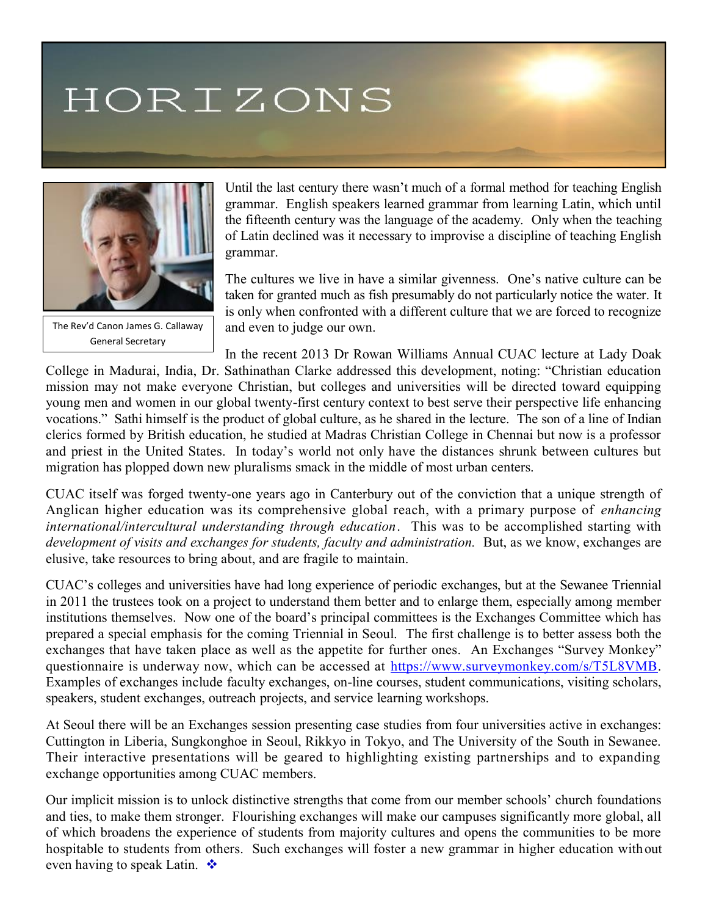# HORIZONS



The Rev'd Canon James G. Callaway General Secretary

Until the last century there wasn't much of a formal method for teaching English grammar. English speakers learned grammar from learning Latin, which until the fifteenth century was the language of the academy. Only when the teaching of Latin declined was it necessary to improvise a discipline of teaching English grammar.

The cultures we live in have a similar givenness. One's native culture can be taken for granted much as fish presumably do not particularly notice the water. It is only when confronted with a different culture that we are forced to recognize and even to judge our own.

In the recent 2013 Dr Rowan Williams Annual CUAC lecture at Lady Doak College in Madurai, India, Dr. Sathinathan Clarke addressed this development, noting: "Christian education mission may not make everyone Christian, but colleges and universities will be directed toward equipping young men and women in our global twenty-first century context to best serve their perspective life enhancing vocations." Sathi himself is the product of global culture, as he shared in the lecture. The son of a line of Indian clerics formed by British education, he studied at Madras Christian College in Chennai but now is a professor and priest in the United States. In today's world not only have the distances shrunk between cultures but

CUAC itself was forged twenty-one years ago in Canterbury out of the conviction that a unique strength of Anglican higher education was its comprehensive global reach, with a primary purpose of *enhancing international/intercultural understanding through education*. This was to be accomplished starting with *development of visits and exchanges for students, faculty and administration.* But, as we know, exchanges are elusive, take resources to bring about, and are fragile to maintain.

migration has plopped down new pluralisms smack in the middle of most urban centers.

CUAC's colleges and universities have had long experience of periodic exchanges, but at the Sewanee Triennial in 2011 the trustees took on a project to understand them better and to enlarge them, especially among member institutions themselves. Now one of the board's principal committees is the Exchanges Committee which has prepared a special emphasis for the coming Triennial in Seoul. The first challenge is to better assess both the exchanges that have taken place as well as the appetite for further ones. An Exchanges "Survey Monkey" questionnaire is underway now, which can be accessed at [https://www.surveymonkey.com/s/T5L8VMB.](https://www.surveymonkey.com/s/T5L8VMB) Examples of exchanges include faculty exchanges, on-line courses, student communications, visiting scholars, speakers, student exchanges, outreach projects, and service learning workshops.

At Seoul there will be an Exchanges session presenting case studies from four universities active in exchanges: Cuttington in Liberia, Sungkonghoe in Seoul, Rikkyo in Tokyo, and The University of the South in Sewanee. Their interactive presentations will be geared to highlighting existing partnerships and to expanding exchange opportunities among CUAC members.

Our implicit mission is to unlock distinctive strengths that come from our member schools' church foundations and ties, to make them stronger. Flourishing exchanges will make our campuses significantly more global, all of which broadens the experience of students from majority cultures and opens the communities to be more hospitable to students from others. Such exchanges will foster a new grammar in higher education without even having to speak Latin.  $\bullet$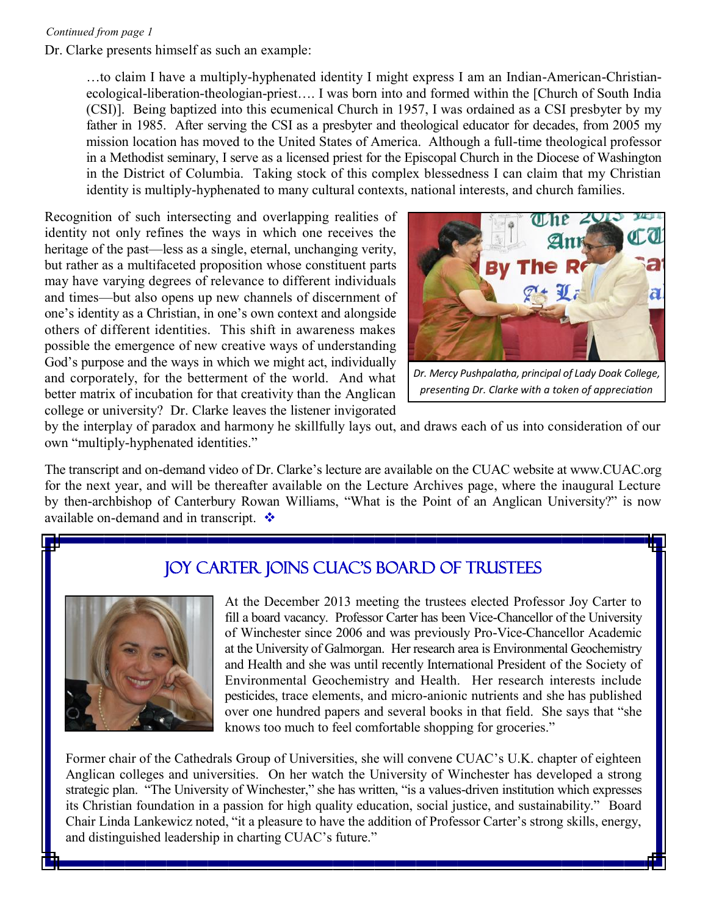#### *Continued from page 1*

Dr. Clarke presents himself as such an example:

…to claim I have a multiply-hyphenated identity I might express I am an Indian-American-Christianecological-liberation-theologian-priest…. I was born into and formed within the [Church of South India (CSI)]. Being baptized into this ecumenical Church in 1957, I was ordained as a CSI presbyter by my father in 1985. After serving the CSI as a presbyter and theological educator for decades, from 2005 my mission location has moved to the United States of America. Although a full-time theological professor in a Methodist seminary, I serve as a licensed priest for the Episcopal Church in the Diocese of Washington in the District of Columbia. Taking stock of this complex blessedness I can claim that my Christian identity is multiply-hyphenated to many cultural contexts, national interests, and church families.

Recognition of such intersecting and overlapping realities of identity not only refines the ways in which one receives the heritage of the past—less as a single, eternal, unchanging verity, but rather as a multifaceted proposition whose constituent parts may have varying degrees of relevance to different individuals and times—but also opens up new channels of discernment of one's identity as a Christian, in one's own context and alongside others of different identities. This shift in awareness makes possible the emergence of new creative ways of understanding God's purpose and the ways in which we might act, individually and corporately, for the betterment of the world. And what better matrix of incubation for that creativity than the Anglican college or university? Dr. Clarke leaves the listener invigorated



*Dr. Mercy Pushpalatha, principal of Lady Doak College, presenting Dr. Clarke with a token of appreciation*

by the interplay of paradox and harmony he skillfully lays out, and draws each of us into consideration of our own "multiply-hyphenated identities."

The transcript and on-demand video of Dr. Clarke's lecture are available on the CUAC website at www.CUAC.org for the next year, and will be thereafter available on the Lecture Archives page, where the inaugural Lecture by then-archbishop of Canterbury Rowan Williams, "What is the Point of an Anglican University?" is now available on-demand and in transcript.  $\cdot$ 

# Joy Carter joins CUAC's Board of Trustees



At the December 2013 meeting the trustees elected Professor Joy Carter to fill a board vacancy. Professor Carter has been Vice-Chancellor of the University of Winchester since 2006 and was previously Pro-Vice-Chancellor Academic at the University of Galmorgan. Her research area is Environmental Geochemistry and Health and she was until recently International President of the Society of Environmental Geochemistry and Health. Her research interests include pesticides, trace elements, and micro-anionic nutrients and she has published over one hundred papers and several books in that field. She says that "she knows too much to feel comfortable shopping for groceries."

Former chair of the Cathedrals Group of Universities, she will convene CUAC's U.K. chapter of eighteen Anglican colleges and universities. On her watch the University of Winchester has developed a strong strategic plan. "The University of Winchester," she has written, "is a values-driven institution which expresses its Christian foundation in a passion for high quality education, social justice, and sustainability." Board Chair Linda Lankewicz noted, "it a pleasure to have the addition of Professor Carter's strong skills, energy, and distinguished leadership in charting CUAC's future."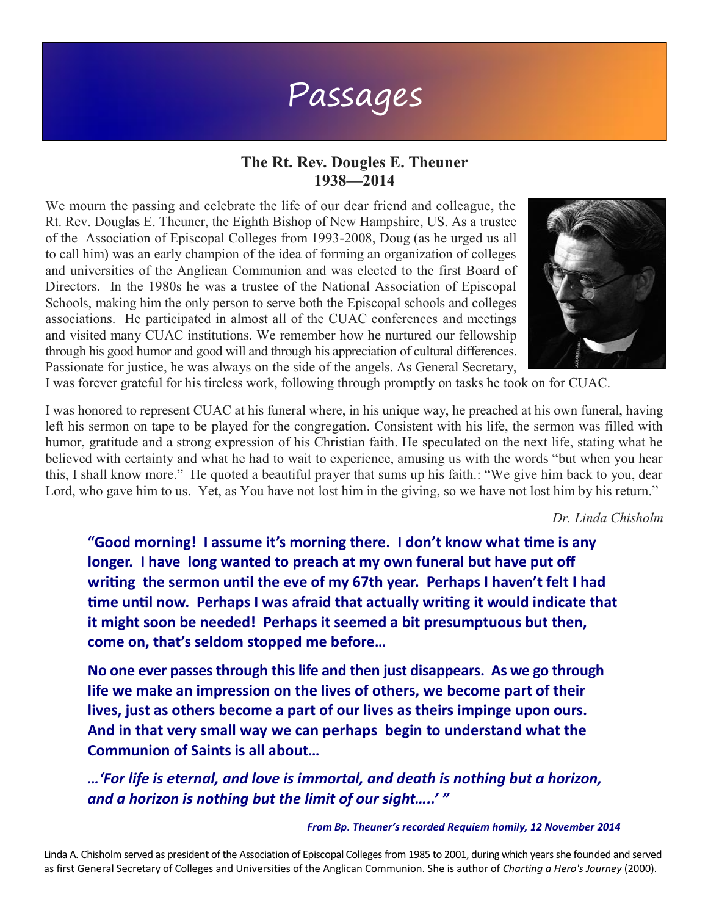# Passages

## **The Rt. Rev. Dougles E. Theuner 1938—2014**

We mourn the passing and celebrate the life of our dear friend and colleague, the Rt. Rev. Douglas E. Theuner, the Eighth Bishop of New Hampshire, US. As a trustee of the Association of Episcopal Colleges from 1993-2008, Doug (as he urged us all to call him) was an early champion of the idea of forming an organization of colleges and universities of the Anglican Communion and was elected to the first Board of Directors. In the 1980s he was a trustee of the National Association of Episcopal Schools, making him the only person to serve both the Episcopal schools and colleges associations. He participated in almost all of the CUAC conferences and meetings and visited many CUAC institutions. We remember how he nurtured our fellowship through his good humor and good will and through his appreciation of cultural differences. Passionate for justice, he was always on the side of the angels. As General Secretary,



I was forever grateful for his tireless work, following through promptly on tasks he took on for CUAC.

I was honored to represent CUAC at his funeral where, in his unique way, he preached at his own funeral, having left his sermon on tape to be played for the congregation. Consistent with his life, the sermon was filled with humor, gratitude and a strong expression of his Christian faith. He speculated on the next life, stating what he believed with certainty and what he had to wait to experience, amusing us with the words "but when you hear this, I shall know more." He quoted a beautiful prayer that sums up his faith.: "We give him back to you, dear Lord, who gave him to us. Yet, as You have not lost him in the giving, so we have not lost him by his return."

*Dr. Linda Chisholm* 

**"Good morning! I assume it's morning there. I don't know what time is any longer. I have long wanted to preach at my own funeral but have put off writing the sermon until the eve of my 67th year. Perhaps I haven't felt I had time until now. Perhaps I was afraid that actually writing it would indicate that it might soon be needed! Perhaps it seemed a bit presumptuous but then, come on, that's seldom stopped me before…**

**No one ever passes through this life and then just disappears. As we go through life we make an impression on the lives of others, we become part of their lives, just as others become a part of our lives as theirs impinge upon ours. And in that very small way we can perhaps begin to understand what the Communion of Saints is all about…**

*…'For life is eternal, and love is immortal, and death is nothing but a horizon, and a horizon is nothing but the limit of our sight…..' "*

#### *From Bp. Theuner's recorded Requiem homily, 12 November 2014*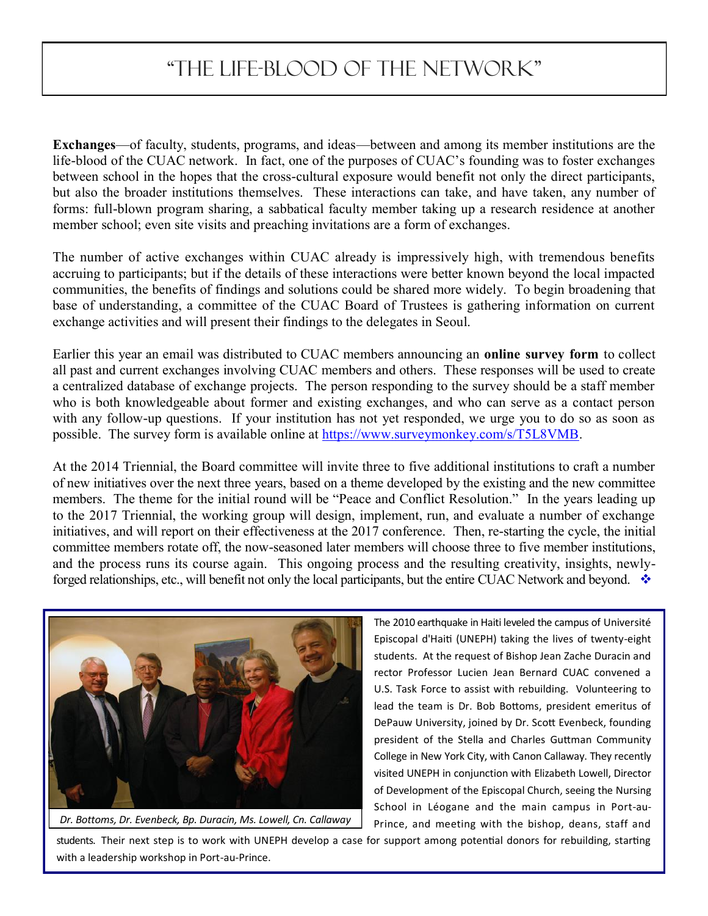# "The Life-Blood of the Network"

**Exchanges**—of faculty, students, programs, and ideas—between and among its member institutions are the life-blood of the CUAC network. In fact, one of the purposes of CUAC's founding was to foster exchanges between school in the hopes that the cross-cultural exposure would benefit not only the direct participants, but also the broader institutions themselves. These interactions can take, and have taken, any number of forms: full-blown program sharing, a sabbatical faculty member taking up a research residence at another member school; even site visits and preaching invitations are a form of exchanges.

The number of active exchanges within CUAC already is impressively high, with tremendous benefits accruing to participants; but if the details of these interactions were better known beyond the local impacted communities, the benefits of findings and solutions could be shared more widely. To begin broadening that base of understanding, a committee of the CUAC Board of Trustees is gathering information on current exchange activities and will present their findings to the delegates in Seoul.

Earlier this year an email was distributed to CUAC members announcing an **online survey form** to collect all past and current exchanges involving CUAC members and others. These responses will be used to create a centralized database of exchange projects. The person responding to the survey should be a staff member who is both knowledgeable about former and existing exchanges, and who can serve as a contact person with any follow-up questions. If your institution has not yet responded, we urge you to do so as soon as possible. The survey form is available online at [https://www.surveymonkey.com/s/T5L8VMB.](https://www.surveymonkey.com/s/T5L8VMB)

At the 2014 Triennial, the Board committee will invite three to five additional institutions to craft a number of new initiatives over the next three years, based on a theme developed by the existing and the new committee members. The theme for the initial round will be "Peace and Conflict Resolution." In the years leading up to the 2017 Triennial, the working group will design, implement, run, and evaluate a number of exchange initiatives, and will report on their effectiveness at the 2017 conference. Then, re-starting the cycle, the initial committee members rotate off, the now-seasoned later members will choose three to five member institutions, and the process runs its course again. This ongoing process and the resulting creativity, insights, newlyforged relationships, etc., will benefit not only the local participants, but the entire CUAC Network and beyond.



*Dr. Bottoms, Dr. Evenbeck, Bp. Duracin, Ms. Lowell, Cn. Callaway*

The 2010 earthquake in Haiti leveled the campus of Université Episcopal d'Haiti (UNEPH) taking the lives of twenty-eight students. At the request of Bishop Jean Zache Duracin and rector Professor Lucien Jean Bernard CUAC convened a U.S. Task Force to assist with rebuilding. Volunteering to lead the team is Dr. Bob Bottoms, president emeritus of DePauw University, joined by Dr. Scott Evenbeck, founding president of the Stella and Charles Guttman Community College in New York City, with Canon Callaway. They recently visited UNEPH in conjunction with Elizabeth Lowell, Director of Development of the Episcopal Church, seeing the Nursing School in Léogane and the main campus in Port-au-Prince, and meeting with the bishop, deans, staff and

students. Their next step is to work with UNEPH develop a case for support among potential donors for rebuilding, starting with a leadership workshop in Port-au-Prince.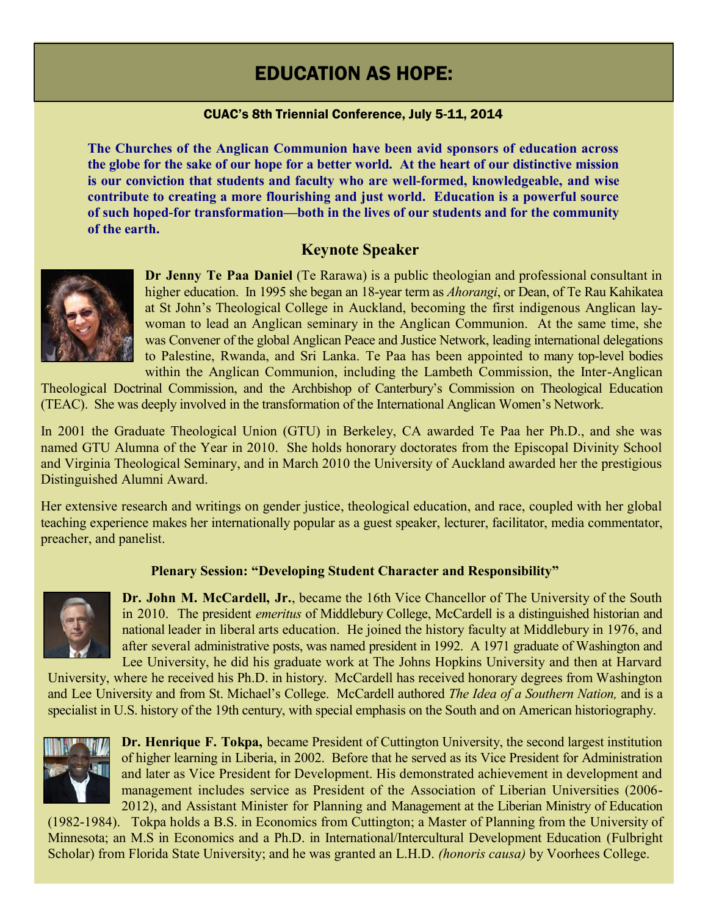# EDUCATION AS HOPE:

#### CUAC's 8th Triennial Conference, July 5-11, 2014

**The Churches of the Anglican Communion have been avid sponsors of education across the globe for the sake of our hope for a better world. At the heart of our distinctive mission is our conviction that students and faculty who are well-formed, knowledgeable, and wise contribute to creating a more flourishing and just world. Education is a powerful source of such hoped-for transformation—both in the lives of our students and for the community of the earth.**

## **Keynote Speaker**



**Dr Jenny Te Paa Daniel** (Te Rarawa) is a public theologian and professional consultant in higher education. In 1995 she began an 18-year term as *Ahorangi*, or Dean, of Te Rau Kahikatea at St John's Theological College in Auckland, becoming the first indigenous Anglican laywoman to lead an Anglican seminary in the Anglican Communion. At the same time, she was Convener of the global Anglican Peace and Justice Network, leading international delegations to Palestine, Rwanda, and Sri Lanka. Te Paa has been appointed to many top-level bodies within the Anglican Communion, including the Lambeth Commission, the Inter-Anglican

Theological Doctrinal Commission, and the Archbishop of Canterbury's Commission on Theological Education (TEAC). She was deeply involved in the transformation of the International Anglican Women's Network.

In 2001 the Graduate Theological Union (GTU) in Berkeley, CA awarded Te Paa her Ph.D., and she was named GTU Alumna of the Year in 2010. She holds honorary doctorates from the Episcopal Divinity School and Virginia Theological Seminary, and in March 2010 the University of Auckland awarded her the prestigious Distinguished Alumni Award.

Her extensive research and writings on gender justice, theological education, and race, coupled with her global teaching experience makes her internationally popular as a guest speaker, lecturer, facilitator, media commentator, preacher, and panelist.

#### **Plenary Session: "Developing Student Character and Responsibility"**



**Dr. John M. McCardell, Jr.**, became the 16th Vice Chancellor of The University of the South in 2010. The president *emeritus* of Middlebury College, McCardell is a distinguished historian and national leader in liberal arts education. He joined the history faculty at Middlebury in 1976, and after several administrative posts, was named president in 1992. A 1971 graduate of Washington and Lee University, he did his graduate work at The Johns Hopkins University and then at Harvard

University, where he received his Ph.D. in history. McCardell has received honorary degrees from Washington and Lee University and from St. Michael's College. McCardell authored *The Idea of a Southern Nation,* and is a specialist in U.S. history of the 19th century, with special emphasis on the South and on American historiography.



**Dr. Henrique F. Tokpa,** became President of Cuttington University, the second largest institution of higher learning in Liberia, in 2002. Before that he served as its Vice President for Administration and later as Vice President for Development. His demonstrated achievement in development and management includes service as President of the Association of Liberian Universities (2006- 2012), and Assistant Minister for Planning and Management at the Liberian Ministry of Education

(1982-1984). Tokpa holds a B.S. in Economics from Cuttington; a Master of Planning from the University of Minnesota; an M.S in Economics and a Ph.D. in International/Intercultural Development Education (Fulbright Scholar) from Florida State University; and he was granted an L.H.D. *(honoris causa)* by Voorhees College.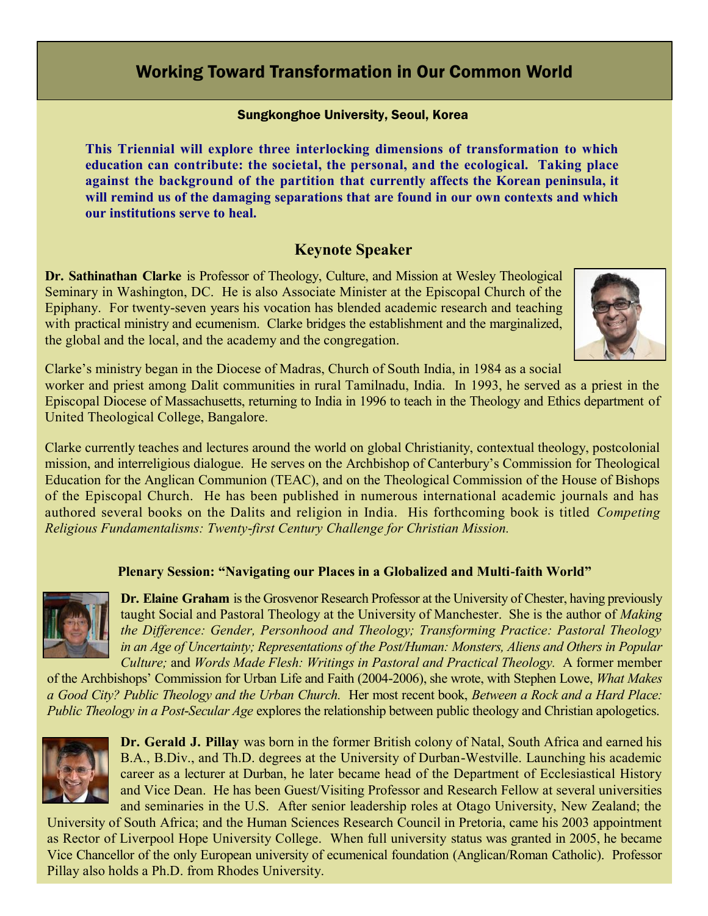# Working Toward Transformation in Our Common World

#### Sungkonghoe University, Seoul, Korea

**This Triennial will explore three interlocking dimensions of transformation to which education can contribute: the societal, the personal, and the ecological. Taking place against the background of the partition that currently affects the Korean peninsula, it will remind us of the damaging separations that are found in our own contexts and which our institutions serve to heal.**

## **Keynote Speaker**

**Dr. Sathinathan Clarke** is Professor of Theology, Culture, and Mission at Wesley Theological Seminary in Washington, DC. He is also Associate Minister at the Episcopal Church of the Epiphany. For twenty-seven years his vocation has blended academic research and teaching with practical ministry and ecumenism. Clarke bridges the establishment and the marginalized, the global and the local, and the academy and the congregation.



Clarke's ministry began in the Diocese of Madras, Church of South India, in 1984 as a social worker and priest among Dalit communities in rural Tamilnadu, India. In 1993, he served as a priest in the Episcopal Diocese of Massachusetts, returning to India in 1996 to teach in the Theology and Ethics department of United Theological College, Bangalore.

Clarke currently teaches and lectures around the world on global Christianity, contextual theology, postcolonial mission, and interreligious dialogue. He serves on the Archbishop of Canterbury's Commission for Theological Education for the Anglican Communion (TEAC), and on the Theological Commission of the House of Bishops of the Episcopal Church. He has been published in numerous international academic journals and has authored several books on the Dalits and religion in India. His forthcoming book is titled *Competing Religious Fundamentalisms: Twenty-first Century Challenge for Christian Mission.*

#### **Plenary Session: "Navigating our Places in a Globalized and Multi-faith World"**



**Dr. Elaine Graham** is the Grosvenor Research Professor at the University of Chester, having previously taught Social and Pastoral Theology at the University of Manchester. She is the author of *Making the Difference: Gender, Personhood and Theology; Transforming Practice: Pastoral Theology in an Age of Uncertainty; Representations of the Post/Human: Monsters, Aliens and Others in Popular Culture;* and *Words Made Flesh: Writings in Pastoral and Practical Theology.* A former member

of the Archbishops' Commission for Urban Life and Faith (2004-2006), she wrote, with Stephen Lowe, *What Makes a Good City? Public Theology and the Urban Church.* Her most recent book, *Between a Rock and a Hard Place: Public Theology in a Post-Secular Age* explores the relationship between public theology and Christian apologetics.



**Dr. Gerald J. Pillay** was born in the former British colony of Natal, South Africa and earned his B.A., B.Div., and Th.D. degrees at the University of Durban-Westville. Launching his academic career as a lecturer at Durban, he later became head of the Department of Ecclesiastical History and Vice Dean. He has been Guest/Visiting Professor and Research Fellow at several universities and seminaries in the U.S. After senior leadership roles at Otago University, New Zealand; the

University of South Africa; and the Human Sciences Research Council in Pretoria, came his 2003 appointment as Rector of Liverpool Hope University College. When full university status was granted in 2005, he became Vice Chancellor of the only European university of ecumenical foundation (Anglican/Roman Catholic). Professor Pillay also holds a Ph.D. from Rhodes University.